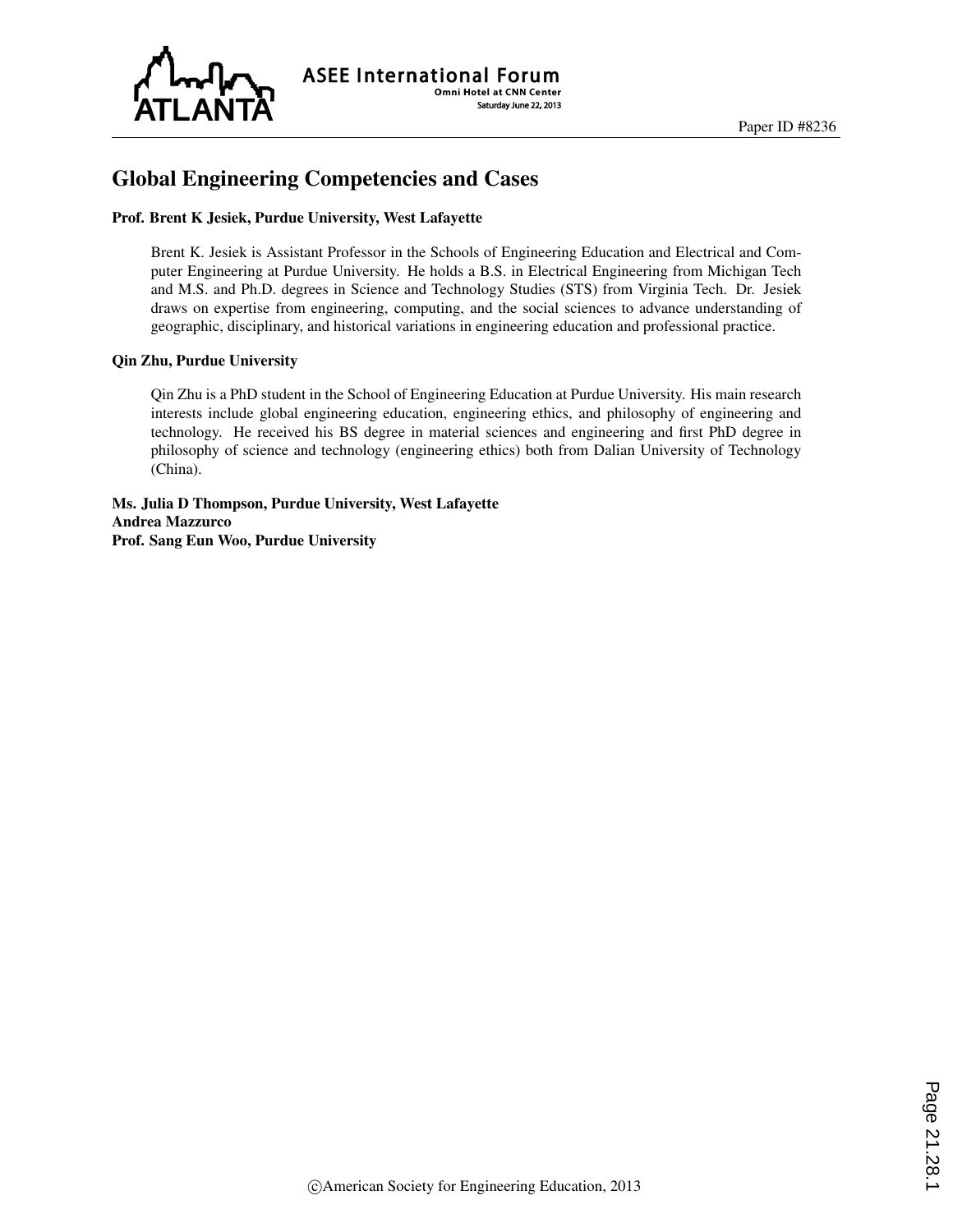

# Global Engineering Competencies and Cases

#### Prof. Brent K Jesiek, Purdue University, West Lafayette

Brent K. Jesiek is Assistant Professor in the Schools of Engineering Education and Electrical and Computer Engineering at Purdue University. He holds a B.S. in Electrical Engineering from Michigan Tech and M.S. and Ph.D. degrees in Science and Technology Studies (STS) from Virginia Tech. Dr. Jesiek draws on expertise from engineering, computing, and the social sciences to advance understanding of geographic, disciplinary, and historical variations in engineering education and professional practice.

#### Qin Zhu, Purdue University

Qin Zhu is a PhD student in the School of Engineering Education at Purdue University. His main research interests include global engineering education, engineering ethics, and philosophy of engineering and technology. He received his BS degree in material sciences and engineering and first PhD degree in philosophy of science and technology (engineering ethics) both from Dalian University of Technology (China).

Ms. Julia D Thompson, Purdue University, West Lafayette Andrea Mazzurco Prof. Sang Eun Woo, Purdue University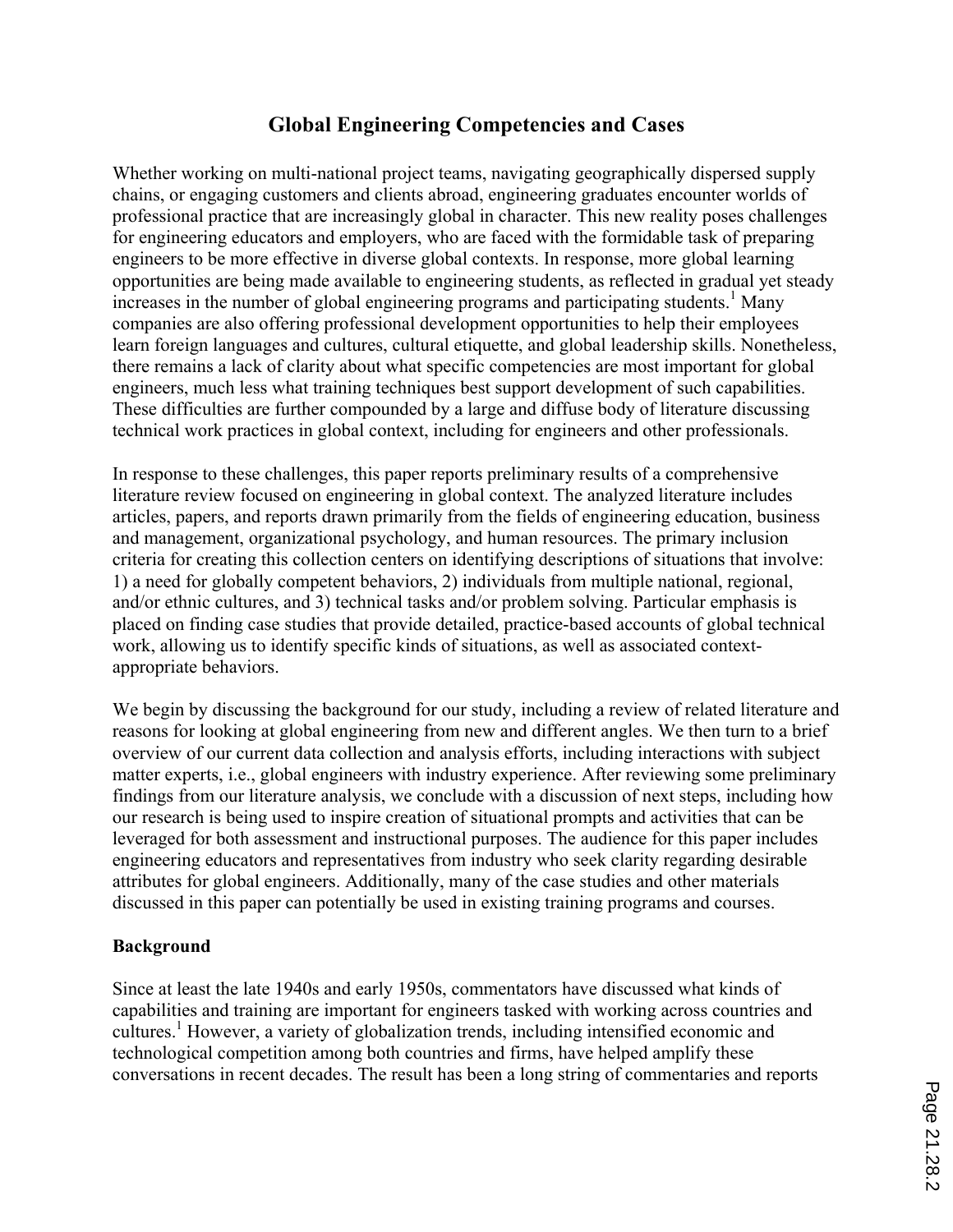# **Global Engineering Competencies and Cases**

Whether working on multi-national project teams, navigating geographically dispersed supply chains, or engaging customers and clients abroad, engineering graduates encounter worlds of professional practice that are increasingly global in character. This new reality poses challenges for engineering educators and employers, who are faced with the formidable task of preparing engineers to be more effective in diverse global contexts. In response, more global learning opportunities are being made available to engineering students, as reflected in gradual yet steady increases in the number of global engineering programs and participating students. <sup>1</sup> Many companies are also offering professional development opportunities to help their employees learn foreign languages and cultures, cultural etiquette, and global leadership skills. Nonetheless, there remains a lack of clarity about what specific competencies are most important for global engineers, much less what training techniques best support development of such capabilities. These difficulties are further compounded by a large and diffuse body of literature discussing technical work practices in global context, including for engineers and other professionals.

In response to these challenges, this paper reports preliminary results of a comprehensive literature review focused on engineering in global context. The analyzed literature includes articles, papers, and reports drawn primarily from the fields of engineering education, business and management, organizational psychology, and human resources. The primary inclusion criteria for creating this collection centers on identifying descriptions of situations that involve: 1) a need for globally competent behaviors, 2) individuals from multiple national, regional, and/or ethnic cultures, and 3) technical tasks and/or problem solving. Particular emphasis is placed on finding case studies that provide detailed, practice-based accounts of global technical work, allowing us to identify specific kinds of situations, as well as associated contextappropriate behaviors.

We begin by discussing the background for our study, including a review of related literature and reasons for looking at global engineering from new and different angles. We then turn to a brief overview of our current data collection and analysis efforts, including interactions with subject matter experts, i.e., global engineers with industry experience. After reviewing some preliminary findings from our literature analysis, we conclude with a discussion of next steps, including how our research is being used to inspire creation of situational prompts and activities that can be leveraged for both assessment and instructional purposes. The audience for this paper includes engineering educators and representatives from industry who seek clarity regarding desirable attributes for global engineers. Additionally, many of the case studies and other materials discussed in this paper can potentially be used in existing training programs and courses.

### **Background**

Since at least the late 1940s and early 1950s, commentators have discussed what kinds of capabilities and training are important for engineers tasked with working across countries and cultures. 1 However, a variety of globalization trends, including intensified economic and technological competition among both countries and firms, have helped amplify these conversations in recent decades. The result has been a long string of commentaries and reports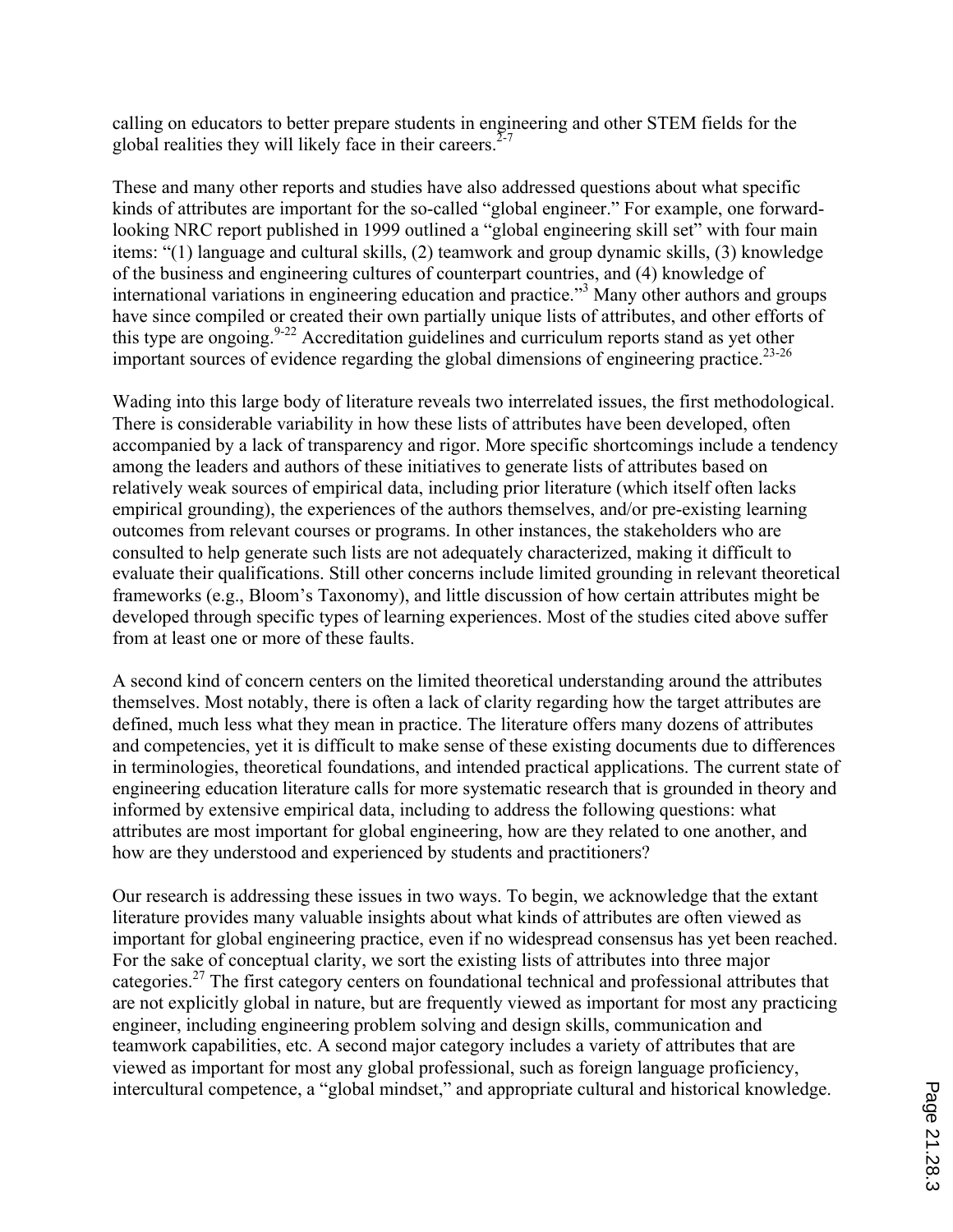calling on educators to better prepare students in engineering and other STEM fields for the global realities they will likely face in their careers.<sup> $2-7$ </sup>

These and many other reports and studies have also addressed questions about what specific kinds of attributes are important for the so-called "global engineer." For example, one forwardlooking NRC report published in 1999 outlined a "global engineering skill set" with four main items: "(1) language and cultural skills, (2) teamwork and group dynamic skills, (3) knowledge of the business and engineering cultures of counterpart countries, and (4) knowledge of international variations in engineering education and practice." <sup>3</sup> Many other authors and groups have since compiled or created their own partially unique lists of attributes, and other efforts of this type are ongoing. $9-22$  Accreditation guidelines and curriculum reports stand as yet other important sources of evidence regarding the global dimensions of engineering practice.<sup>23-26</sup>

Wading into this large body of literature reveals two interrelated issues, the first methodological. There is considerable variability in how these lists of attributes have been developed, often accompanied by a lack of transparency and rigor. More specific shortcomings include a tendency among the leaders and authors of these initiatives to generate lists of attributes based on relatively weak sources of empirical data, including prior literature (which itself often lacks empirical grounding), the experiences of the authors themselves, and/or pre-existing learning outcomes from relevant courses or programs. In other instances, the stakeholders who are consulted to help generate such lists are not adequately characterized, making it difficult to evaluate their qualifications. Still other concerns include limited grounding in relevant theoretical frameworks (e.g., Bloom's Taxonomy), and little discussion of how certain attributes might be developed through specific types of learning experiences. Most of the studies cited above suffer from at least one or more of these faults.

A second kind of concern centers on the limited theoretical understanding around the attributes themselves. Most notably, there is often a lack of clarity regarding how the target attributes are defined, much less what they mean in practice. The literature offers many dozens of attributes and competencies, yet it is difficult to make sense of these existing documents due to differences in terminologies, theoretical foundations, and intended practical applications. The current state of engineering education literature calls for more systematic research that is grounded in theory and informed by extensive empirical data, including to address the following questions: what attributes are most important for global engineering, how are they related to one another, and how are they understood and experienced by students and practitioners?

Our research is addressing these issues in two ways. To begin, we acknowledge that the extant literature provides many valuable insights about what kinds of attributes are often viewed as important for global engineering practice, even if no widespread consensus has yet been reached. For the sake of conceptual clarity, we sort the existing lists of attributes into three major categories.27 The first category centers on foundational technical and professional attributes that are not explicitly global in nature, but are frequently viewed as important for most any practicing engineer, including engineering problem solving and design skills, communication and teamwork capabilities, etc. A second major category includes a variety of attributes that are viewed as important for most any global professional, such as foreign language proficiency, intercultural competence, a "global mindset," and appropriate cultural and historical knowledge.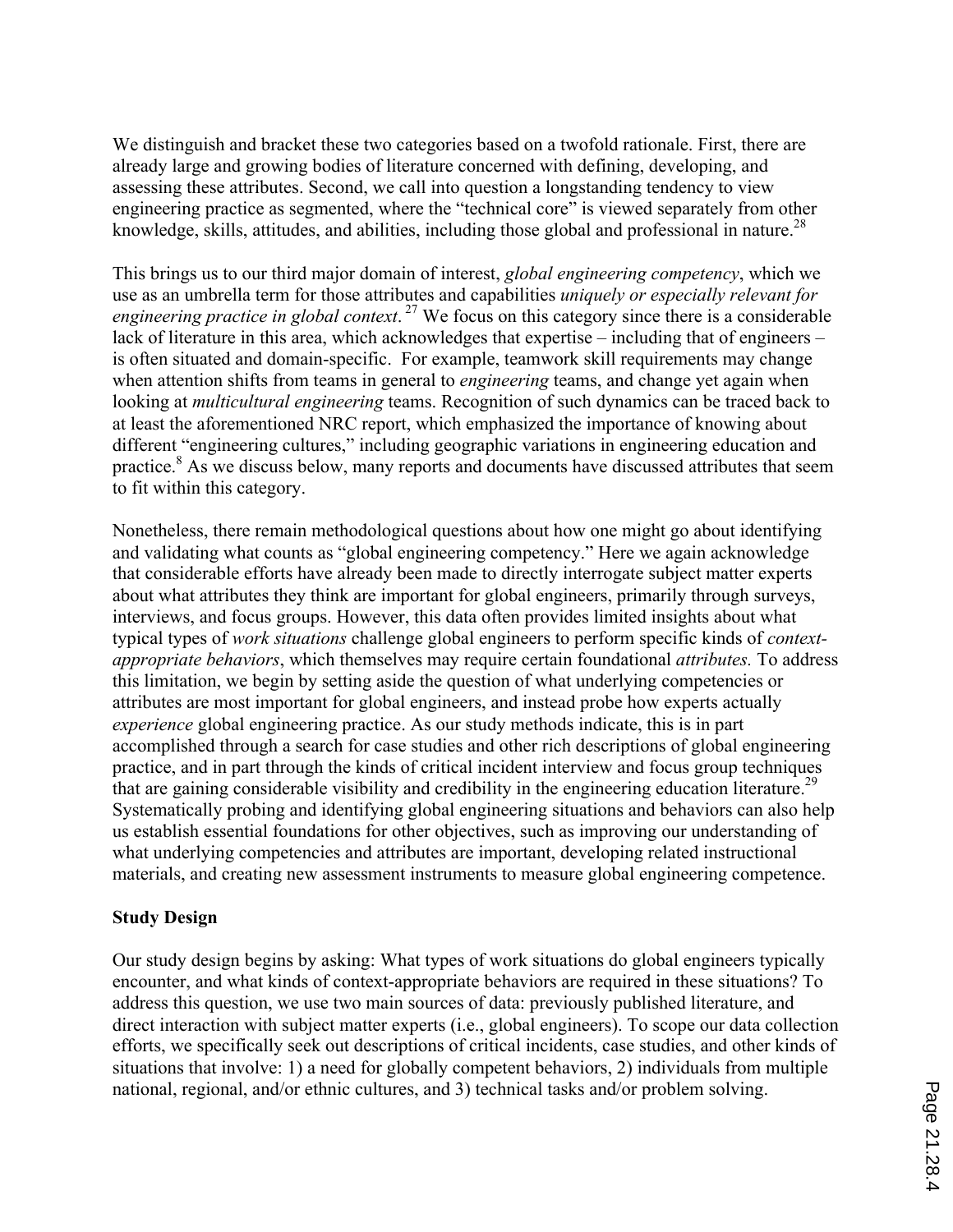We distinguish and bracket these two categories based on a twofold rationale. First, there are already large and growing bodies of literature concerned with defining, developing, and assessing these attributes. Second, we call into question a longstanding tendency to view engineering practice as segmented, where the "technical core" is viewed separately from other knowledge, skills, attitudes, and abilities, including those global and professional in nature.<sup>28</sup>

This brings us to our third major domain of interest, *global engineering competency*, which we use as an umbrella term for those attributes and capabilities *uniquely or especially relevant for engineering practice in global context*. <sup>27</sup> We focus on this category since there is a considerable lack of literature in this area, which acknowledges that expertise – including that of engineers – is often situated and domain-specific. For example, teamwork skill requirements may change when attention shifts from teams in general to *engineering* teams, and change yet again when looking at *multicultural engineering* teams. Recognition of such dynamics can be traced back to at least the aforementioned NRC report, which emphasized the importance of knowing about different "engineering cultures," including geographic variations in engineering education and practice.<sup>8</sup> As we discuss below, many reports and documents have discussed attributes that seem to fit within this category.

Nonetheless, there remain methodological questions about how one might go about identifying and validating what counts as "global engineering competency." Here we again acknowledge that considerable efforts have already been made to directly interrogate subject matter experts about what attributes they think are important for global engineers, primarily through surveys, interviews, and focus groups. However, this data often provides limited insights about what typical types of *work situations* challenge global engineers to perform specific kinds of *contextappropriate behaviors*, which themselves may require certain foundational *attributes.* To address this limitation, we begin by setting aside the question of what underlying competencies or attributes are most important for global engineers, and instead probe how experts actually *experience* global engineering practice. As our study methods indicate, this is in part accomplished through a search for case studies and other rich descriptions of global engineering practice, and in part through the kinds of critical incident interview and focus group techniques that are gaining considerable visibility and credibility in the engineering education literature.<sup>29</sup> Systematically probing and identifying global engineering situations and behaviors can also help us establish essential foundations for other objectives, such as improving our understanding of what underlying competencies and attributes are important, developing related instructional materials, and creating new assessment instruments to measure global engineering competence.

### **Study Design**

Our study design begins by asking: What types of work situations do global engineers typically encounter, and what kinds of context-appropriate behaviors are required in these situations? To address this question, we use two main sources of data: previously published literature, and direct interaction with subject matter experts (i.e., global engineers). To scope our data collection efforts, we specifically seek out descriptions of critical incidents, case studies, and other kinds of situations that involve: 1) a need for globally competent behaviors, 2) individuals from multiple national, regional, and/or ethnic cultures, and 3) technical tasks and/or problem solving.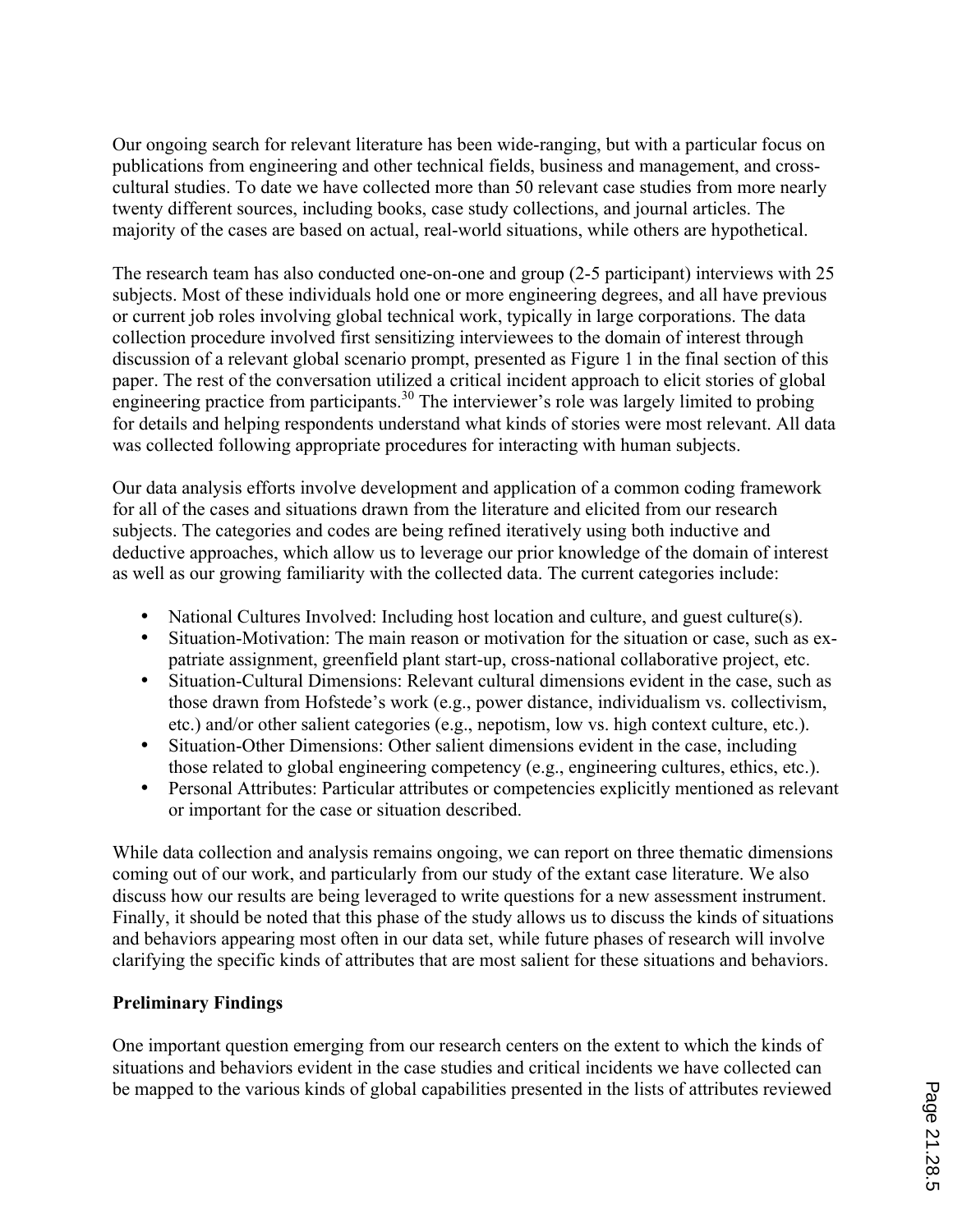Our ongoing search for relevant literature has been wide-ranging, but with a particular focus on publications from engineering and other technical fields, business and management, and crosscultural studies. To date we have collected more than 50 relevant case studies from more nearly twenty different sources, including books, case study collections, and journal articles. The majority of the cases are based on actual, real-world situations, while others are hypothetical.

The research team has also conducted one-on-one and group (2-5 participant) interviews with 25 subjects. Most of these individuals hold one or more engineering degrees, and all have previous or current job roles involving global technical work, typically in large corporations. The data collection procedure involved first sensitizing interviewees to the domain of interest through discussion of a relevant global scenario prompt, presented as Figure 1 in the final section of this paper. The rest of the conversation utilized a critical incident approach to elicit stories of global engineering practice from participants.<sup>30</sup> The interviewer's role was largely limited to probing for details and helping respondents understand what kinds of stories were most relevant. All data was collected following appropriate procedures for interacting with human subjects.

Our data analysis efforts involve development and application of a common coding framework for all of the cases and situations drawn from the literature and elicited from our research subjects. The categories and codes are being refined iteratively using both inductive and deductive approaches, which allow us to leverage our prior knowledge of the domain of interest as well as our growing familiarity with the collected data. The current categories include:

- National Cultures Involved: Including host location and culture, and guest culture(s).
- Situation-Motivation: The main reason or motivation for the situation or case, such as expatriate assignment, greenfield plant start-up, cross-national collaborative project, etc.
- Situation-Cultural Dimensions: Relevant cultural dimensions evident in the case, such as those drawn from Hofstede's work (e.g., power distance, individualism vs. collectivism, etc.) and/or other salient categories (e.g., nepotism, low vs. high context culture, etc.).
- Situation-Other Dimensions: Other salient dimensions evident in the case, including those related to global engineering competency (e.g., engineering cultures, ethics, etc.).
- Personal Attributes: Particular attributes or competencies explicitly mentioned as relevant or important for the case or situation described.

While data collection and analysis remains ongoing, we can report on three thematic dimensions coming out of our work, and particularly from our study of the extant case literature. We also discuss how our results are being leveraged to write questions for a new assessment instrument. Finally, it should be noted that this phase of the study allows us to discuss the kinds of situations and behaviors appearing most often in our data set, while future phases of research will involve clarifying the specific kinds of attributes that are most salient for these situations and behaviors.

### **Preliminary Findings**

One important question emerging from our research centers on the extent to which the kinds of situations and behaviors evident in the case studies and critical incidents we have collected can be mapped to the various kinds of global capabilities presented in the lists of attributes reviewed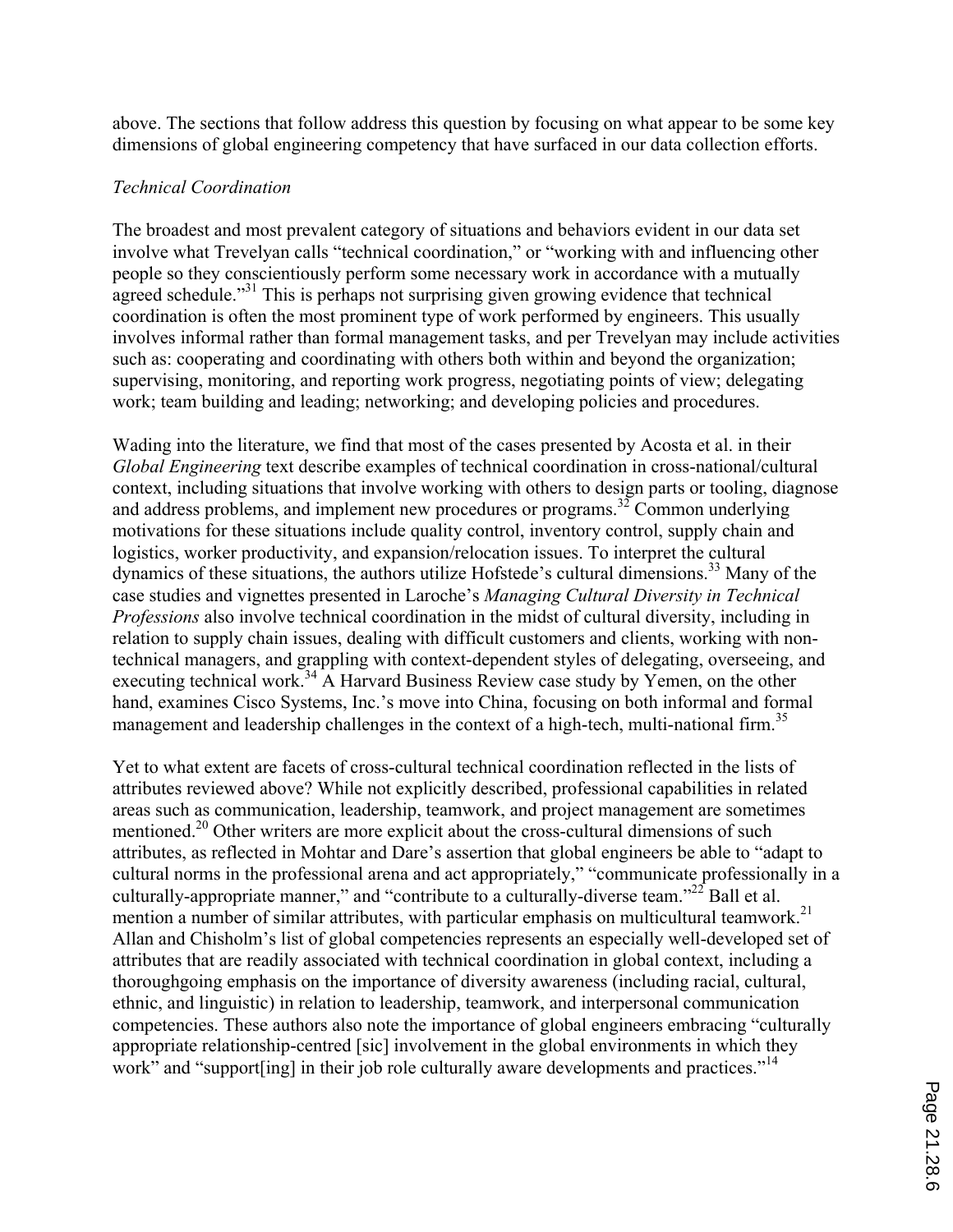above. The sections that follow address this question by focusing on what appear to be some key dimensions of global engineering competency that have surfaced in our data collection efforts.

#### *Technical Coordination*

The broadest and most prevalent category of situations and behaviors evident in our data set involve what Trevelyan calls "technical coordination," or "working with and influencing other people so they conscientiously perform some necessary work in accordance with a mutually agreed schedule."<sup>31</sup> This is perhaps not surprising given growing evidence that technical coordination is often the most prominent type of work performed by engineers. This usually involves informal rather than formal management tasks, and per Trevelyan may include activities such as: cooperating and coordinating with others both within and beyond the organization; supervising, monitoring, and reporting work progress, negotiating points of view; delegating work; team building and leading; networking; and developing policies and procedures.

Wading into the literature, we find that most of the cases presented by Acosta et al. in their *Global Engineering* text describe examples of technical coordination in cross-national/cultural context, including situations that involve working with others to design parts or tooling, diagnose and address problems, and implement new procedures or programs.<sup>32</sup> Common underlying motivations for these situations include quality control, inventory control, supply chain and logistics, worker productivity, and expansion/relocation issues. To interpret the cultural dynamics of these situations, the authors utilize Hofstede's cultural dimensions.<sup>33</sup> Many of the case studies and vignettes presented in Laroche's *Managing Cultural Diversity in Technical Professions* also involve technical coordination in the midst of cultural diversity, including in relation to supply chain issues, dealing with difficult customers and clients, working with nontechnical managers, and grappling with context-dependent styles of delegating, overseeing, and executing technical work.<sup>34</sup> A Harvard Business Review case study by Yemen, on the other hand, examines Cisco Systems, Inc.'s move into China, focusing on both informal and formal management and leadership challenges in the context of a high-tech, multi-national firm.<sup>35</sup>

Yet to what extent are facets of cross-cultural technical coordination reflected in the lists of attributes reviewed above? While not explicitly described, professional capabilities in related areas such as communication, leadership, teamwork, and project management are sometimes mentioned.<sup>20</sup> Other writers are more explicit about the cross-cultural dimensions of such attributes, as reflected in Mohtar and Dare's assertion that global engineers be able to "adapt to cultural norms in the professional arena and act appropriately," "communicate professionally in a culturally-appropriate manner," and "contribute to a culturally-diverse team."<sup>22</sup> Ball et al. mention a number of similar attributes, with particular emphasis on multicultural teamwork.<sup>21</sup> Allan and Chisholm's list of global competencies represents an especially well-developed set of attributes that are readily associated with technical coordination in global context, including a thoroughgoing emphasis on the importance of diversity awareness (including racial, cultural, ethnic, and linguistic) in relation to leadership, teamwork, and interpersonal communication competencies. These authors also note the importance of global engineers embracing "culturally appropriate relationship-centred [sic] involvement in the global environments in which they work" and "support ling] in their job role culturally aware developments and practices."<sup>14</sup>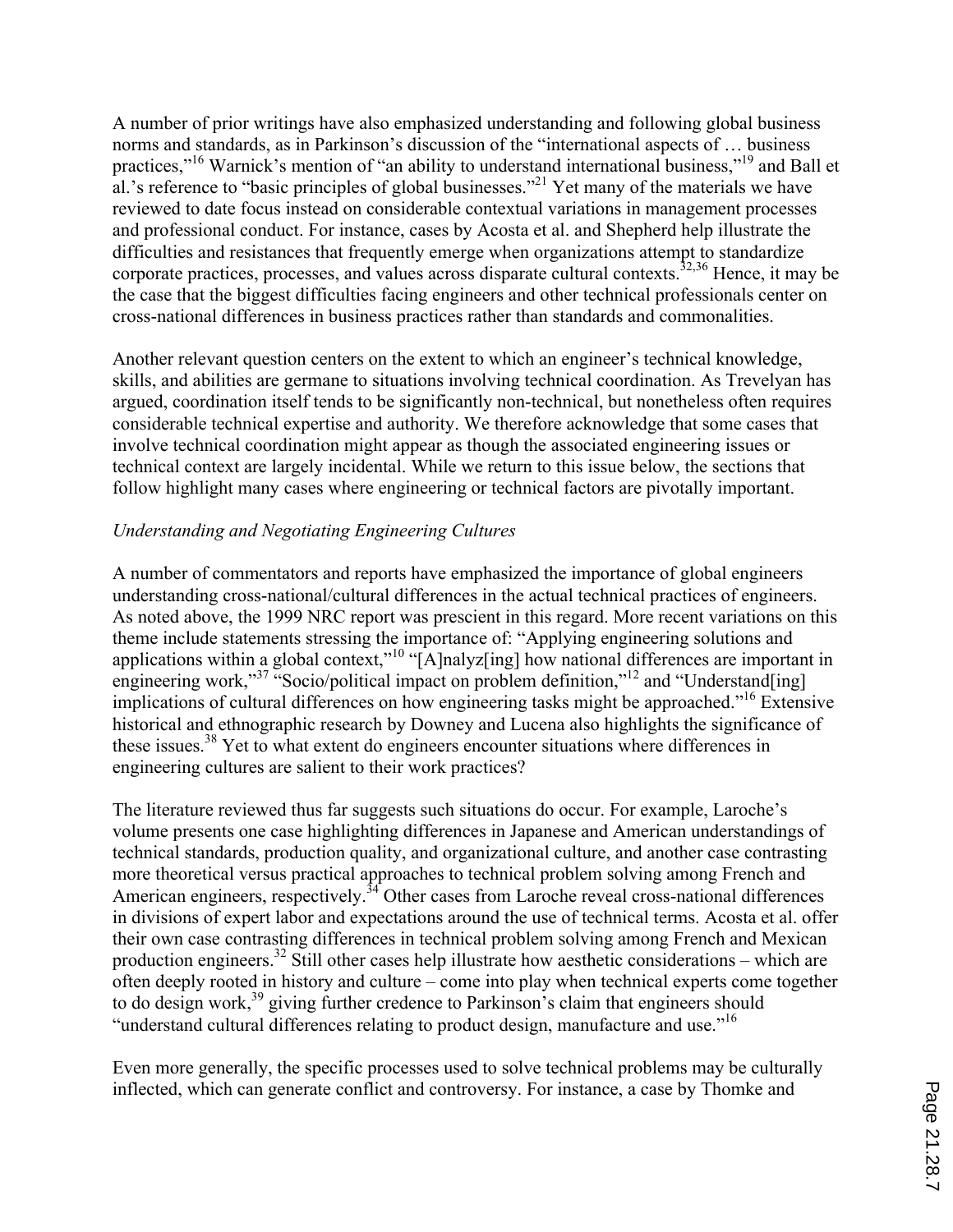A number of prior writings have also emphasized understanding and following global business norms and standards, as in Parkinson's discussion of the "international aspects of … business practices,"<sup>16</sup> Warnick's mention of "an ability to understand international business,"<sup>19</sup> and Ball et al.'s reference to "basic principles of global businesses."<sup>21</sup> Yet many of the materials we have reviewed to date focus instead on considerable contextual variations in management processes and professional conduct. For instance, cases by Acosta et al. and Shepherd help illustrate the difficulties and resistances that frequently emerge when organizations attempt to standardize corporate practices, processes, and values across disparate cultural contexts.<sup>32,36</sup> Hence, it may be the case that the biggest difficulties facing engineers and other technical professionals center on cross-national differences in business practices rather than standards and commonalities.

Another relevant question centers on the extent to which an engineer's technical knowledge, skills, and abilities are germane to situations involving technical coordination. As Trevelyan has argued, coordination itself tends to be significantly non-technical, but nonetheless often requires considerable technical expertise and authority. We therefore acknowledge that some cases that involve technical coordination might appear as though the associated engineering issues or technical context are largely incidental. While we return to this issue below, the sections that follow highlight many cases where engineering or technical factors are pivotally important.

## *Understanding and Negotiating Engineering Cultures*

A number of commentators and reports have emphasized the importance of global engineers understanding cross-national/cultural differences in the actual technical practices of engineers. As noted above, the 1999 NRC report was prescient in this regard. More recent variations on this theme include statements stressing the importance of: "Applying engineering solutions and applications within a global context,"<sup>10</sup> "[A]nalyz[ing] how national differences are important in engineering work,"<sup>37</sup> "Socio/political impact on problem definition,"<sup>12</sup> and "Understand[ing] implications of cultural differences on how engineering tasks might be approached."<sup>16</sup> Extensive historical and ethnographic research by Downey and Lucena also highlights the significance of these issues.<sup>38</sup> Yet to what extent do engineers encounter situations where differences in engineering cultures are salient to their work practices?

The literature reviewed thus far suggests such situations do occur. For example, Laroche's volume presents one case highlighting differences in Japanese and American understandings of technical standards, production quality, and organizational culture, and another case contrasting more theoretical versus practical approaches to technical problem solving among French and American engineers, respectively.<sup>34</sup> Other cases from Laroche reveal cross-national differences in divisions of expert labor and expectations around the use of technical terms. Acosta et al. offer their own case contrasting differences in technical problem solving among French and Mexican production engineers.<sup>32</sup> Still other cases help illustrate how aesthetic considerations – which are often deeply rooted in history and culture – come into play when technical experts come together to do design work,<sup>39</sup> giving further credence to Parkinson's claim that engineers should "understand cultural differences relating to product design, manufacture and use."<sup>16</sup>

Even more generally, the specific processes used to solve technical problems may be culturally inflected, which can generate conflict and controversy. For instance, a case by Thomke and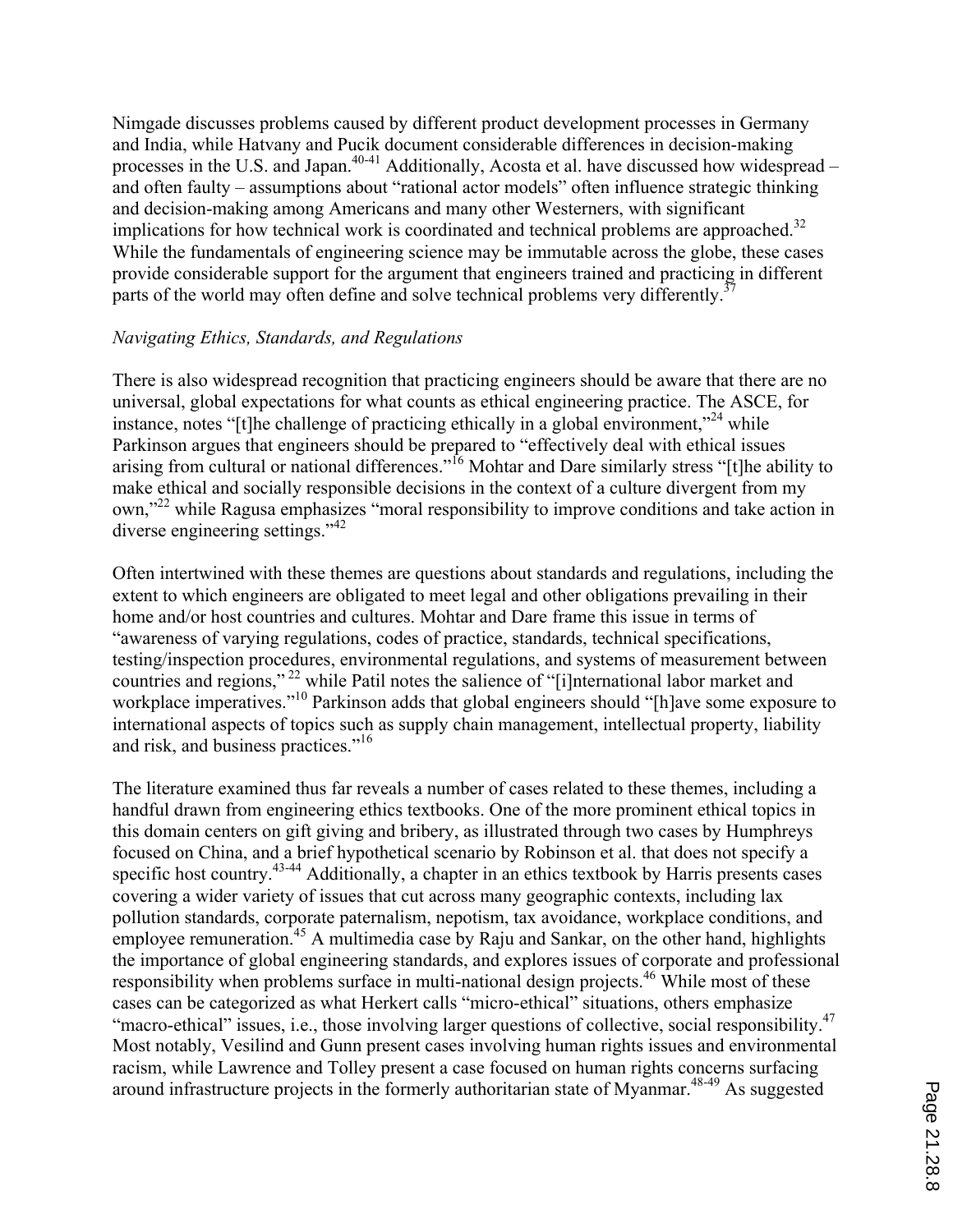Nimgade discusses problems caused by different product development processes in Germany and India, while Hatvany and Pucik document considerable differences in decision-making processes in the U.S. and Japan.<sup>40-41</sup> Additionally, Acosta et al. have discussed how widespread – and often faulty – assumptions about "rational actor models" often influence strategic thinking and decision-making among Americans and many other Westerners, with significant implications for how technical work is coordinated and technical problems are approached.<sup>32</sup> While the fundamentals of engineering science may be immutable across the globe, these cases provide considerable support for the argument that engineers trained and practicing in different parts of the world may often define and solve technical problems very differently.<sup>37</sup>

#### *Navigating Ethics, Standards, and Regulations*

There is also widespread recognition that practicing engineers should be aware that there are no universal, global expectations for what counts as ethical engineering practice. The ASCE, for instance, notes "[t]he challenge of practicing ethically in a global environment,"<sup>24</sup> while Parkinson argues that engineers should be prepared to "effectively deal with ethical issues arising from cultural or national differences."<sup>16</sup> Mohtar and Dare similarly stress "[t]he ability to make ethical and socially responsible decisions in the context of a culture divergent from my own,"22 while Ragusa emphasizes "moral responsibility to improve conditions and take action in diverse engineering settings."<sup>42</sup>

Often intertwined with these themes are questions about standards and regulations, including the extent to which engineers are obligated to meet legal and other obligations prevailing in their home and/or host countries and cultures. Mohtar and Dare frame this issue in terms of "awareness of varying regulations, codes of practice, standards, technical specifications, testing/inspection procedures, environmental regulations, and systems of measurement between countries and regions," 22 while Patil notes the salience of "[i]nternational labor market and workplace imperatives."<sup>10</sup> Parkinson adds that global engineers should "[h]ave some exposure to international aspects of topics such as supply chain management, intellectual property, liability and risk, and business practices."<sup>16</sup>

The literature examined thus far reveals a number of cases related to these themes, including a handful drawn from engineering ethics textbooks. One of the more prominent ethical topics in this domain centers on gift giving and bribery, as illustrated through two cases by Humphreys focused on China, and a brief hypothetical scenario by Robinson et al. that does not specify a specific host country.<sup>43-44</sup> Additionally, a chapter in an ethics textbook by Harris presents cases covering a wider variety of issues that cut across many geographic contexts, including lax pollution standards, corporate paternalism, nepotism, tax avoidance, workplace conditions, and employee remuneration.<sup>45</sup> A multimedia case by Raju and Sankar, on the other hand, highlights the importance of global engineering standards, and explores issues of corporate and professional responsibility when problems surface in multi-national design projects.<sup>46</sup> While most of these cases can be categorized as what Herkert calls "micro-ethical" situations, others emphasize "macro-ethical" issues, i.e., those involving larger questions of collective, social responsibility.<sup>47</sup> Most notably, Vesilind and Gunn present cases involving human rights issues and environmental racism, while Lawrence and Tolley present a case focused on human rights concerns surfacing around infrastructure projects in the formerly authoritarian state of Myanmar.<sup>48-49</sup> As suggested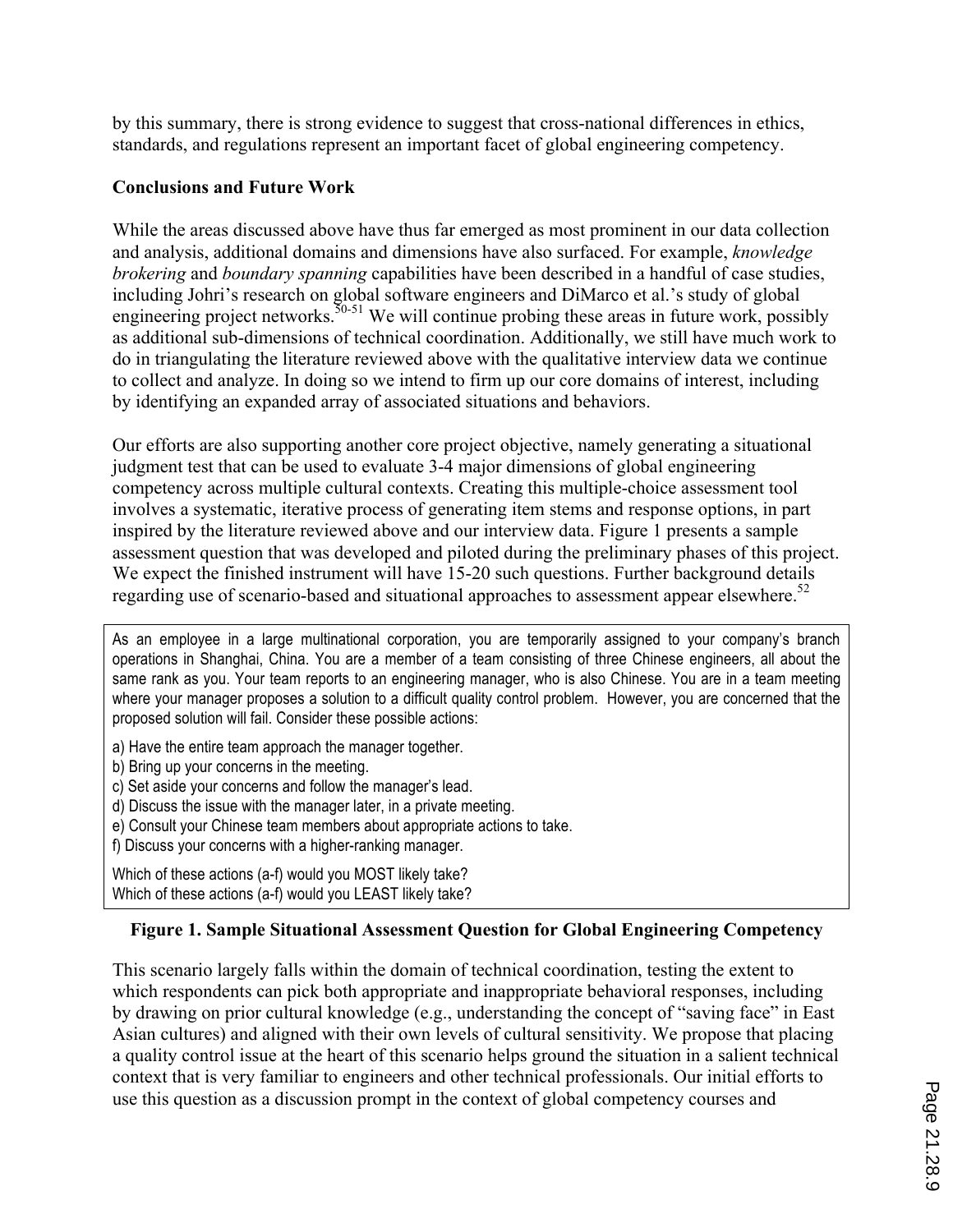by this summary, there is strong evidence to suggest that cross-national differences in ethics, standards, and regulations represent an important facet of global engineering competency.

### **Conclusions and Future Work**

While the areas discussed above have thus far emerged as most prominent in our data collection and analysis, additional domains and dimensions have also surfaced. For example, *knowledge brokering* and *boundary spanning* capabilities have been described in a handful of case studies, including Johri's research on global software engineers and DiMarco et al.'s study of global engineering project networks.  $50-51$  We will continue probing these areas in future work, possibly as additional sub-dimensions of technical coordination. Additionally, we still have much work to do in triangulating the literature reviewed above with the qualitative interview data we continue to collect and analyze. In doing so we intend to firm up our core domains of interest, including by identifying an expanded array of associated situations and behaviors.

Our efforts are also supporting another core project objective, namely generating a situational judgment test that can be used to evaluate 3-4 major dimensions of global engineering competency across multiple cultural contexts. Creating this multiple-choice assessment tool involves a systematic, iterative process of generating item stems and response options, in part inspired by the literature reviewed above and our interview data. Figure 1 presents a sample assessment question that was developed and piloted during the preliminary phases of this project. We expect the finished instrument will have 15-20 such questions. Further background details regarding use of scenario-based and situational approaches to assessment appear elsewhere.<sup>52</sup>

As an employee in a large multinational corporation, you are temporarily assigned to your company's branch operations in Shanghai, China. You are a member of a team consisting of three Chinese engineers, all about the same rank as you. Your team reports to an engineering manager, who is also Chinese. You are in a team meeting where your manager proposes a solution to a difficult quality control problem. However, you are concerned that the proposed solution will fail. Consider these possible actions:

- a) Have the entire team approach the manager together.
- b) Bring up your concerns in the meeting.
- c) Set aside your concerns and follow the manager's lead.
- d) Discuss the issue with the manager later, in a private meeting.
- e) Consult your Chinese team members about appropriate actions to take.
- f) Discuss your concerns with a higher-ranking manager.

Which of these actions (a-f) would you MOST likely take? Which of these actions (a-f) would you LEAST likely take?

# **Figure 1. Sample Situational Assessment Question for Global Engineering Competency**

This scenario largely falls within the domain of technical coordination, testing the extent to which respondents can pick both appropriate and inappropriate behavioral responses, including by drawing on prior cultural knowledge (e.g., understanding the concept of "saving face" in East Asian cultures) and aligned with their own levels of cultural sensitivity. We propose that placing a quality control issue at the heart of this scenario helps ground the situation in a salient technical context that is very familiar to engineers and other technical professionals. Our initial efforts to use this question as a discussion prompt in the context of global competency courses and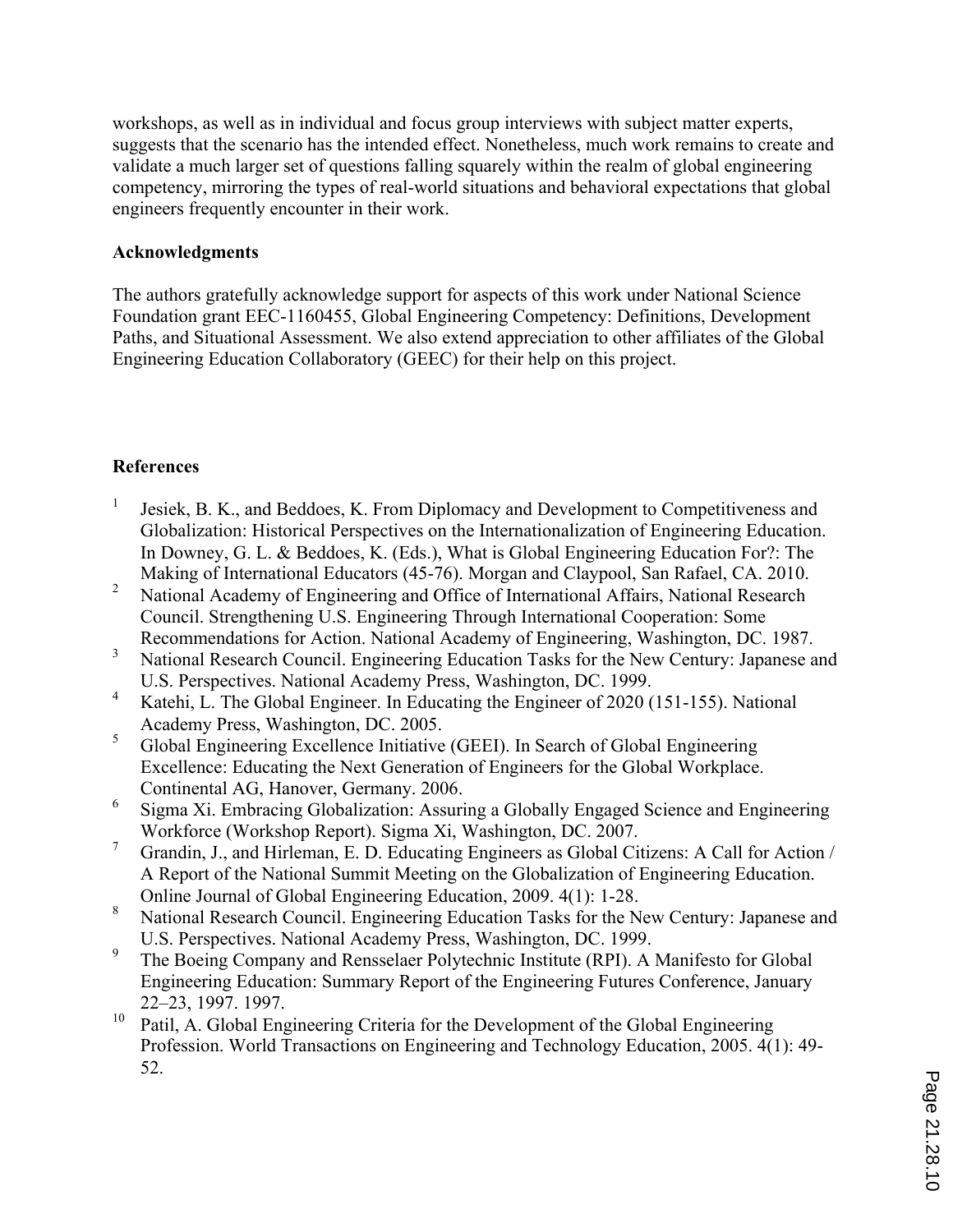workshops, as well as in individual and focus group interviews with subject matter experts, suggests that the scenario has the intended effect. Nonetheless, much work remains to create and validate a much larger set of questions falling squarely within the realm of global engineering competency, mirroring the types of real-world situations and behavioral expectations that global engineers frequently encounter in their work.

### **Acknowledgments**

The authors gratefully acknowledge support for aspects of this work under National Science Foundation grant EEC-1160455, Global Engineering Competency: Definitions, Development Paths, and Situational Assessment. We also extend appreciation to other affiliates of the Global Engineering Education Collaboratory (GEEC) for their help on this project.

# **References**

- Jesiek, B. K., and Beddoes, K. From Diplomacy and Development to Competitiveness and Globalization: Historical Perspectives on the Internationalization of Engineering Education. In Downey, G. L. & Beddoes, K. (Eds.), What is Global Engineering Education For?: The Making of International Educators (45-76). Morgan and Claypool, San Rafael, CA. 2010.
- <sup>2</sup> National Academy of Engineering and Office of International Affairs, National Research Council. Strengthening U.S. Engineering Through International Cooperation: Some Recommendations for Action. National Academy of Engineering, Washington, DC. 1987.
- <sup>3</sup> National Research Council. Engineering Education Tasks for the New Century: Japanese and U.S. Perspectives. National Academy Press, Washington, DC. 1999.
- <sup>4</sup> Katehi, L. The Global Engineer. In Educating the Engineer of 2020 (151-155). National Academy Press, Washington, DC. 2005.
- <sup>5</sup> Global Engineering Excellence Initiative (GEEI). In Search of Global Engineering Excellence: Educating the Next Generation of Engineers for the Global Workplace. Continental AG, Hanover, Germany. 2006.
- <sup>6</sup> Sigma Xi. Embracing Globalization: Assuring a Globally Engaged Science and Engineering Workforce (Workshop Report). Sigma Xi, Washington, DC. 2007.
- <sup>7</sup> Grandin, J., and Hirleman, E. D. Educating Engineers as Global Citizens: A Call for Action / A Report of the National Summit Meeting on the Globalization of Engineering Education. Online Journal of Global Engineering Education, 2009. 4(1): 1-28.
- <sup>8</sup> National Research Council. Engineering Education Tasks for the New Century: Japanese and U.S. Perspectives. National Academy Press, Washington, DC. 1999.
- <sup>9</sup> The Boeing Company and Rensselaer Polytechnic Institute (RPI). A Manifesto for Global Engineering Education: Summary Report of the Engineering Futures Conference, January 22–23, 1997. 1997.
- Patil, A. Global Engineering Criteria for the Development of the Global Engineering Profession. World Transactions on Engineering and Technology Education, 2005. 4(1): 49- 52.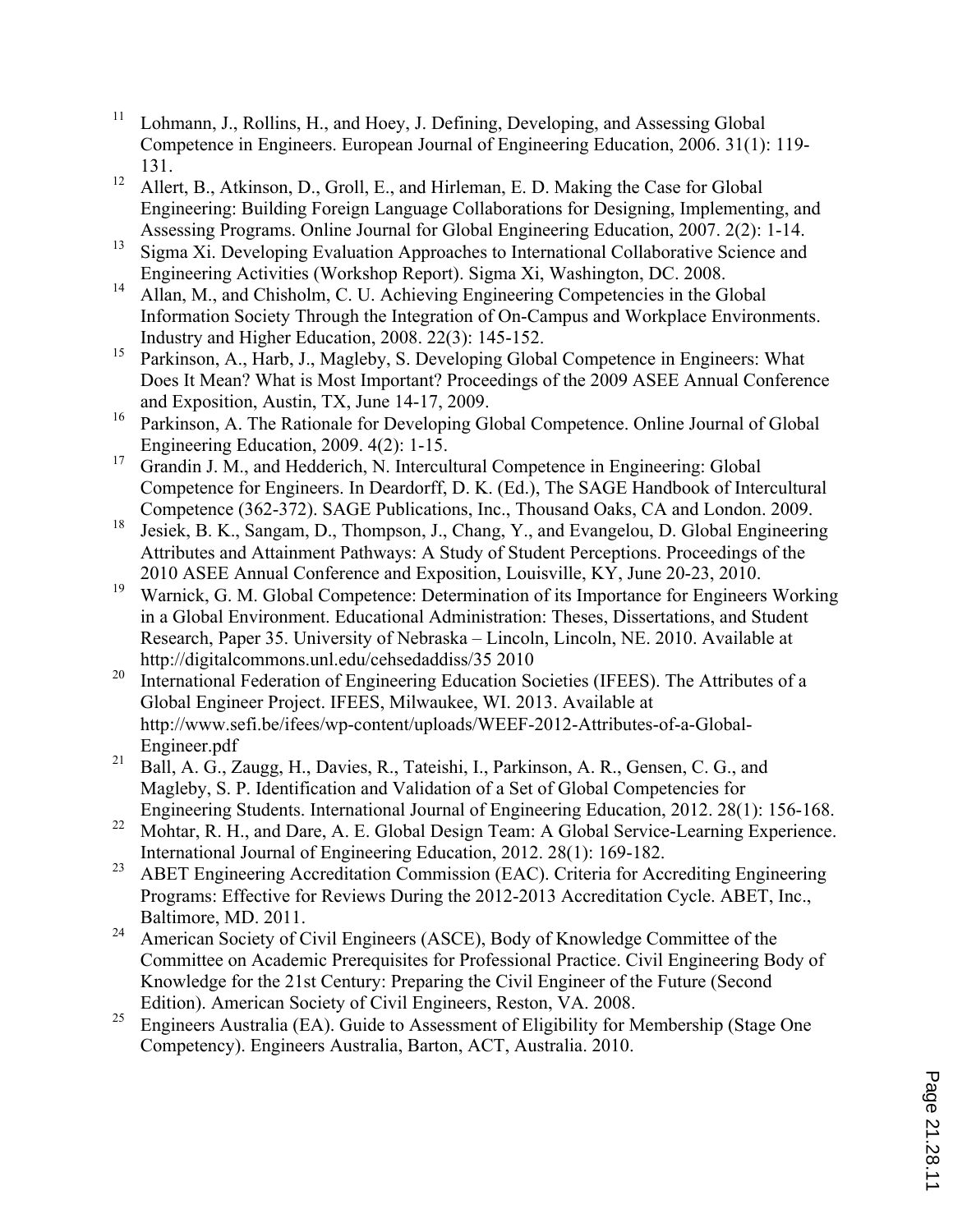- <sup>11</sup> Lohmann, J., Rollins, H., and Hoey, J. Defining, Developing, and Assessing Global Competence in Engineers. European Journal of Engineering Education, 2006. 31(1): 119- 131.
- <sup>12</sup> Allert, B., Atkinson, D., Groll, E., and Hirleman, E. D. Making the Case for Global Engineering: Building Foreign Language Collaborations for Designing, Implementing, and Assessing Programs. Online Journal for Global Engineering Education, 2007. 2(2): 1-14.
- <sup>13</sup> Sigma Xi. Developing Evaluation Approaches to International Collaborative Science and
- Engineering Activities (Workshop Report). Sigma Xi, Washington, DC. 2008.<br><sup>14</sup> Allan, M., and Chisholm, C. U. Achieving Engineering Competencies in the Global Information Society Through the Integration of On-Campus and Workplace Environments. Industry and Higher Education, 2008. 22(3): 145-152.
- <sup>15</sup> Parkinson, A., Harb, J., Magleby, S. Developing Global Competence in Engineers: What Does It Mean? What is Most Important? Proceedings of the 2009 ASEE Annual Conference and Exposition, Austin, TX, June 14-17, 2009.
- <sup>16</sup> Parkinson, A. The Rationale for Developing Global Competence. Online Journal of Global Engineering Education, 2009. 4(2): 1-15.
- <sup>17</sup> Grandin J. M., and Hedderich, N. Intercultural Competence in Engineering: Global Competence for Engineers. In Deardorff, D. K. (Ed.), The SAGE Handbook of Intercultural
- Competence (362-372). SAGE Publications, Inc., Thousand Oaks, CA and London. 2009.<br><sup>18</sup> Jesiek, B. K., Sangam, D., Thompson, J., Chang, Y., and Evangelou, D. Global Engineering Attributes and Attainment Pathways: A Study of Student Perceptions. Proceedings of the 2010 ASEE Annual Conference and Exposition, Louisville, KY, June 20-23, 2010.
- <sup>19</sup> Warnick, G. M. Global Competence: Determination of its Importance for Engineers Working in a Global Environment. Educational Administration: Theses, Dissertations, and Student Research, Paper 35. University of Nebraska – Lincoln, Lincoln, NE. 2010. Available at http://digitalcommons.unl.edu/cehsedaddiss/35 2010
- <sup>20</sup> International Federation of Engineering Education Societies (IFEES). The Attributes of a Global Engineer Project. IFEES, Milwaukee, WI. 2013. Available at http://www.sefi.be/ifees/wp-content/uploads/WEEF-2012-Attributes-of-a-Global-Engineer.pdf
- <sup>21</sup> Ball, A. G., Zaugg, H., Davies, R., Tateishi, I., Parkinson, A. R., Gensen, C. G., and Magleby, S. P. Identification and Validation of a Set of Global Competencies for Engineering Students. International Journal of Engineering Education, 2012. 28(1): 156-168.
- <sup>22</sup> Mohtar, R. H., and Dare, A. E. Global Design Team: A Global Service-Learning Experience. International Journal of Engineering Education, 2012. 28(1): 169-182.
- <sup>23</sup> ABET Engineering Accreditation Commission (EAC). Criteria for Accrediting Engineering Programs: Effective for Reviews During the 2012-2013 Accreditation Cycle. ABET, Inc., Baltimore, MD. 2011.
- <sup>24</sup> American Society of Civil Engineers (ASCE), Body of Knowledge Committee of the Committee on Academic Prerequisites for Professional Practice. Civil Engineering Body of Knowledge for the 21st Century: Preparing the Civil Engineer of the Future (Second Edition). American Society of Civil Engineers, Reston, VA. 2008.
- <sup>25</sup> Engineers Australia (EA). Guide to Assessment of Eligibility for Membership (Stage One Competency). Engineers Australia, Barton, ACT, Australia. 2010.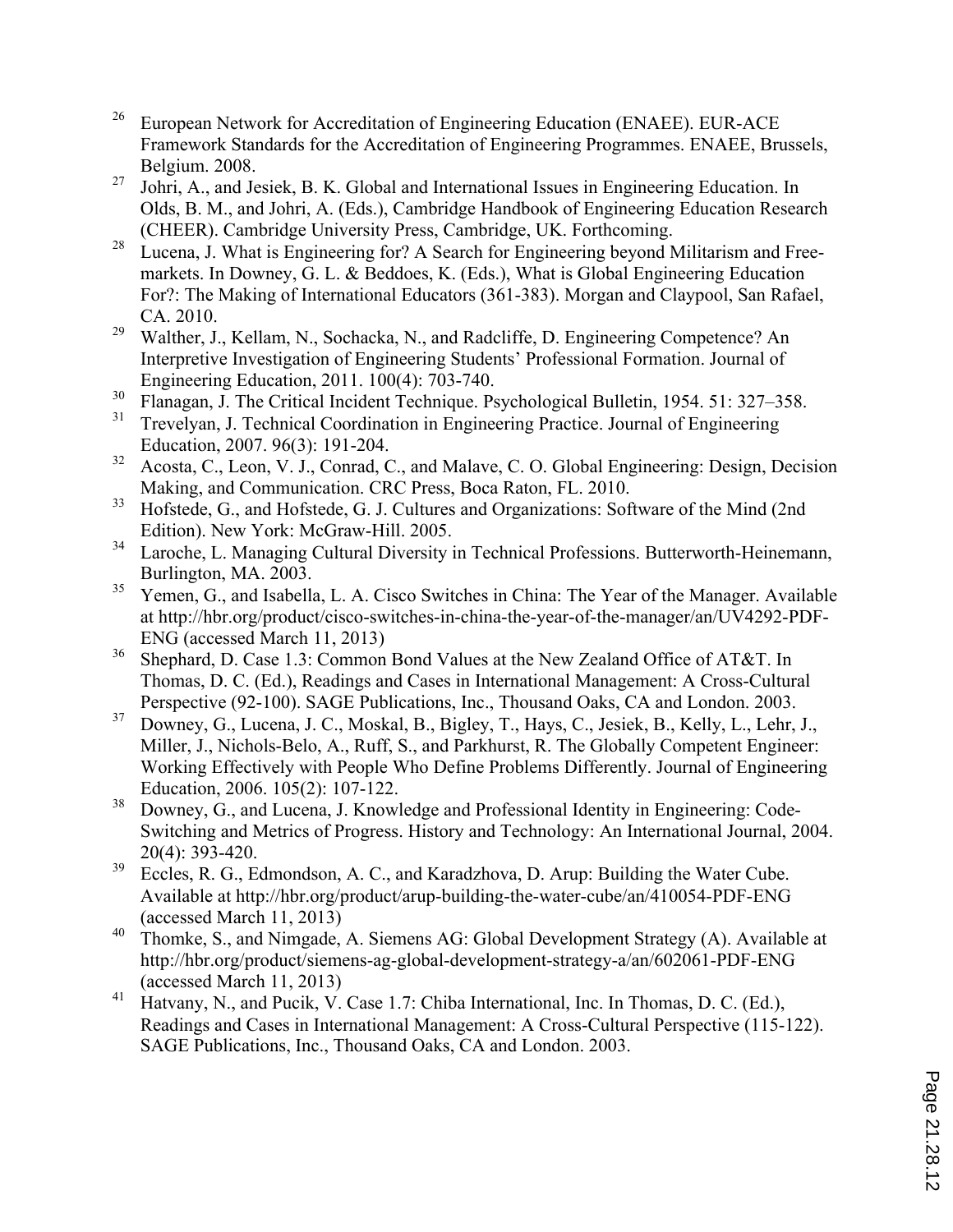- <sup>26</sup> European Network for Accreditation of Engineering Education (ENAEE). EUR-ACE Framework Standards for the Accreditation of Engineering Programmes. ENAEE, Brussels, Belgium. 2008.
- <sup>27</sup> Johri, A., and Jesiek, B. K. Global and International Issues in Engineering Education. In Olds, B. M., and Johri, A. (Eds.), Cambridge Handbook of Engineering Education Research (CHEER). Cambridge University Press, Cambridge, UK. Forthcoming.
- $28$  Lucena, J. What is Engineering for? A Search for Engineering beyond Militarism and Freemarkets. In Downey, G. L. & Beddoes, K. (Eds.), What is Global Engineering Education For?: The Making of International Educators (361-383). Morgan and Claypool, San Rafael, CA. 2010.
- <sup>29</sup> Walther, J., Kellam, N., Sochacka, N., and Radcliffe, D. Engineering Competence? An Interpretive Investigation of Engineering Students' Professional Formation. Journal of Engineering Education, 2011. 100(4): 703-740.
- $\frac{30}{31}$  Flanagan, J. The Critical Incident Technique. Psychological Bulletin, 1954. 51: 327–358.
- <sup>31</sup> Trevelyan, J. Technical Coordination in Engineering Practice. Journal of Engineering Education, 2007. 96(3): 191-204.
- $32$  Acosta, C., Leon, V. J., Conrad, C., and Malave, C. O. Global Engineering: Design, Decision Making, and Communication. CRC Press, Boca Raton, FL. 2010.
- <sup>33</sup> Hofstede, G., and Hofstede, G. J. Cultures and Organizations: Software of the Mind (2nd) Edition). New York: McGraw-Hill. 2005.
- <sup>34</sup> Laroche, L. Managing Cultural Diversity in Technical Professions. Butterworth-Heinemann, Burlington, MA. 2003.
- <sup>35</sup> Yemen, G., and Isabella, L. A. Cisco Switches in China: The Year of the Manager. Available at http://hbr.org/product/cisco-switches-in-china-the-year-of-the-manager/an/UV4292-PDF-ENG (accessed March 11, 2013)
- <sup>36</sup> Shephard, D. Case 1.3: Common Bond Values at the New Zealand Office of AT&T. In Thomas, D. C. (Ed.), Readings and Cases in International Management: A Cross-Cultural Perspective (92-100). SAGE Publications, Inc., Thousand Oaks, CA and London. 2003.
- <sup>37</sup> Downey, G., Lucena, J. C., Moskal, B., Bigley, T., Hays, C., Jesiek, B., Kelly, L., Lehr, J., Miller, J., Nichols-Belo, A., Ruff, S., and Parkhurst, R. The Globally Competent Engineer: Working Effectively with People Who Define Problems Differently. Journal of Engineering Education, 2006. 105(2): 107-122.
- <sup>38</sup> Downey, G., and Lucena, J. Knowledge and Professional Identity in Engineering: Code-Switching and Metrics of Progress. History and Technology: An International Journal, 2004. 20(4): 393-420.
- $39$  Eccles, R. G., Edmondson, A. C., and Karadzhova, D. Arup: Building the Water Cube. Available at http://hbr.org/product/arup-building-the-water-cube/an/410054-PDF-ENG (accessed March 11, 2013)
- <sup>40</sup> Thomke, S., and Nimgade, A. Siemens AG: Global Development Strategy (A). Available at http://hbr.org/product/siemens-ag-global-development-strategy-a/an/602061-PDF-ENG (accessed March 11, 2013)
- <sup>41</sup> Hatvany, N., and Pucik, V. Case 1.7: Chiba International, Inc. In Thomas, D. C. (Ed.), Readings and Cases in International Management: A Cross-Cultural Perspective (115-122). SAGE Publications, Inc., Thousand Oaks, CA and London. 2003.